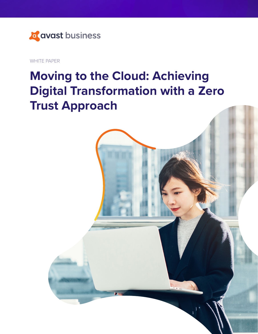

WHITE PAPER

# **Moving to the Cloud: Achieving Digital Transformation with a Zero Trust Approach**

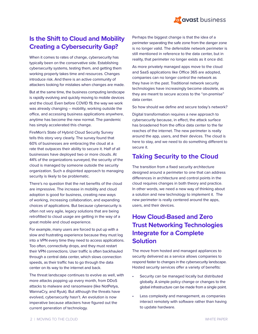

## **Is the Shift to Cloud and Mobility Creating a Cybersecurity Gap?**

When it comes to rates of change, cybersecurity has typically been on the conservative side. Establishing cybersecurity systems, testing them, and getting them working properly takes time and resources. Changes introduce risk. And there is an active community of attackers looking for mistakes when changes are made.

But at the same time, the business computing landscape is rapidly evolving and quickly moving to mobile devices and the cloud. Even before COVID 19, the way we work was already changing – mobility, working outside the office, and accessing business applications anywhere, anytime has become the new normal. The pandemic has simply accelerated this change.

FireMon's State of Hybrid Cloud Security Survey tells this story very clearly. The survey found that 60% of businesses are embracing the cloud at a rate that outpaces their ability to secure it. Half of all businesses have deployed two or more clouds. At 44% of the organizations surveyed, the security of the cloud is managed by someone outside the security organization. Such a disjointed approach to managing security is likely to be problematic.

There's no question that the net benefits of the cloud are impressive. The increase in mobility and cloud adoption is good for business, creating new ways of working, increasing collaboration, and expanding choices of applications. But because cybersecurity is often not very agile, legacy solutions that are being retrofitted to cloud usage are getting in the way of a great mobile and cloud experience.

For example, many users are forced to put up with a slow and frustrating experience because they must log into a VPN every time they need to access applications. Too often, connectivity drops, and they must restart their VPN connections. User traffic is often backhauled through a central data center, which slows connection speeds, as their traffic has to go through the data center on its way to the internet and back.

The threat landscape continues to evolve as well, with more attacks popping up every month, from DDoS attacks to malware and ransomware (like NotPetya, WannaCry, and Ryuk). But although the threats have evolved, cybersecurity hasn't. An evolution is now imperative because attackers have figured out the current generation of technology.

Perhaps the biggest change is that the idea of a perimeter separating the safe zone from the danger zone is no longer valid. The defensible network perimeter is still mentioned in reference to the data center, but in reality, that perimeter no longer exists as it once did.

As more privately managed apps move to the cloud and SaaS applications like Office 365 are adopted, companies can no longer control the network as they have in the past. Traditional network security technologies have increasingly become obsolete, as they are meant to secure access to the "on-premise" data center.

So how should we define and secure today's network?

Digital transformation requires a new approach to cybersecurity because, in effect, the attack surface has broadened from the office data center to the far reaches of the internet. The new perimeter is really around the app, users, and their devices. The cloud is here to stay, and we need to do something different to secure it.

### **Taking Security to the Cloud**

The transition from a fixed security architecture designed around a perimeter to one that can address differences in architecture and control points in the cloud requires changes in both theory and practice. In other words, we need a new way of thinking about a solution and new technology to implement it. The new perimeter is really centered around the apps, users, and their devices.

## **How Cloud-Based and Zero Trust Networking Technologies Integrate for a Complete Solution**

The move from hosted and managed appliances to security delivered as a service allows companies to respond faster to changes in the cybersecurity landscape. Hosted security services offer a variety of benefits:

- Security can be managed locally but distributed globally. A simple policy change or changes to the global infrastructure can be made from a single point.
- Less complexity and management, as companies interact remotely with software rather than having to update hardware.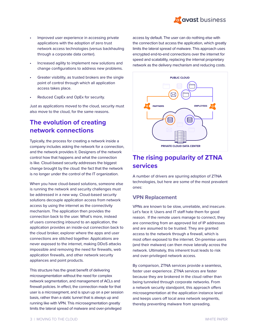

- Improved user experience in accessing private applications with the adoption of zero trust network access technologies (versus backhauling through a corporate data center).
- Increased agility to implement new solutions and change configurations to address new problems.
- Greater visibility, as trusted brokers are the single point of control through which all application access takes place.
- Reduced CapEx and OpEx for security.

Just as applications moved to the cloud, security must also move to the cloud, for the same reasons.

## **The evolution of creating network connections**

Typically, the process for creating a network inside a company includes asking the network for a connection, and the network provides it. Designers of the network control how that happens and what the connection is like. Cloud-based security addresses the biggest change brought by the cloud: the fact that the network is no longer under the control of the IT organization.

When you have cloud-based solutions, someone else is running the network and security challenges must be addressed in a new way. Cloud-based security solutions decouple application access from network access by using the internet as the connectivity mechanism. The application then provides the connection back to the user. What's more, instead of users connecting inbound to an application, the application provides an inside-out connection back to the cloud broker, explorer where the apps and user connections are stitched together. Applications are never exposed to the internet, making DDoS attacks impossible and removing the need for firewalls, web application firewalls, and other network security appliances and point products.

This structure has the great benefit of delivering microsegmentation without the need for complex network segmentation, and management of ACLs and firewall policies. In effect, the connection made for that user is a microsegment, and is spun up on a per session basis, rather than a static tunnel that is always up and running like with VPN. This microsegmentation greatly limits the lateral spread of malware and over-privileged

access by default. The user can do nothing else with the connection but access the application, which greatly limits the lateral spread of malware. This approach uses encrypted end-to-end connections over the internet for speed and scalability, replacing the internal proprietary network as the delivery mechanism and reducing costs.



## **The rising popularity of ZTNA services**

A number of drivers are spurring adoption of ZTNA technologies, but here are some of the most prevalent ones:

#### **VPN Replacement**

VPNs are known to be slow, unreliable, and insecure. Let's face it: Users and IT staff hate them for good reason. If the remote users manage to connect, they are connecting from an approved list of IP addresses and are assumed to be trusted. They are granted access to the network through a firewall, which is most often exposed to the internet. On-premise users (and their malware) can then move laterally across the network. Ultimately, this inherent trust leads to risk and over-privileged network access.

By comparison, ZTNA services provide a seamless, faster user experience. ZTNA services are faster because they are brokered in the cloud rather than being tunneled through corporate networks. From a network security standpoint, this approach offers microsegmentation at the application instance level and keeps users off local area network segments, thereby preventing malware from spreading.